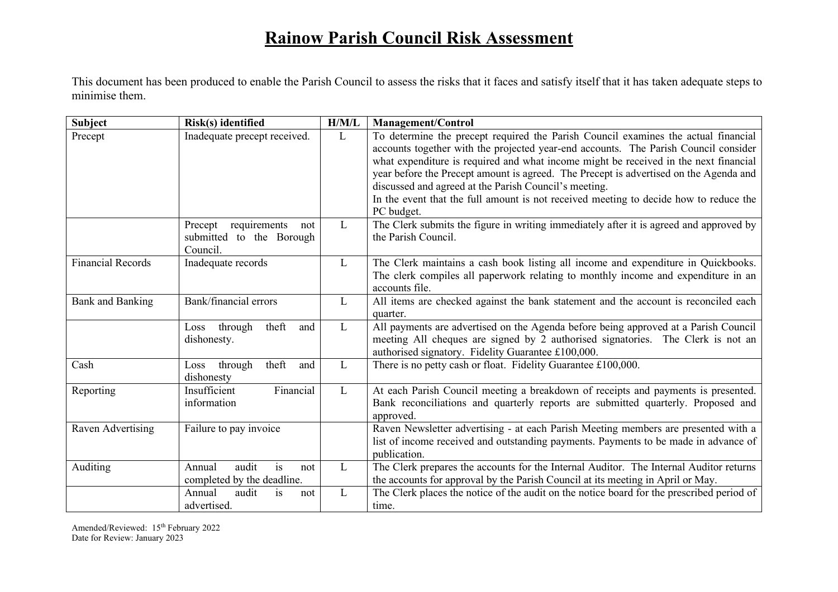## **Rainow Parish Council Risk Assessment**

This document has been produced to enable the Parish Council to assess the risks that it faces and satisfy itself that it has taken adequate steps to minimise them.

| <b>Subject</b>           | Risk(s) identified                                                     | H/M/L        | <b>Management/Control</b>                                                                                                                                                                                                                                                                                                                                                                                                                                                                                                  |
|--------------------------|------------------------------------------------------------------------|--------------|----------------------------------------------------------------------------------------------------------------------------------------------------------------------------------------------------------------------------------------------------------------------------------------------------------------------------------------------------------------------------------------------------------------------------------------------------------------------------------------------------------------------------|
| Precept                  | Inadequate precept received.                                           | L            | To determine the precept required the Parish Council examines the actual financial<br>accounts together with the projected year-end accounts. The Parish Council consider<br>what expenditure is required and what income might be received in the next financial<br>year before the Precept amount is agreed. The Precept is advertised on the Agenda and<br>discussed and agreed at the Parish Council's meeting.<br>In the event that the full amount is not received meeting to decide how to reduce the<br>PC budget. |
|                          | requirements<br>Precept<br>not<br>submitted to the Borough<br>Council. | L            | The Clerk submits the figure in writing immediately after it is agreed and approved by<br>the Parish Council.                                                                                                                                                                                                                                                                                                                                                                                                              |
| <b>Financial Records</b> | Inadequate records                                                     | L            | The Clerk maintains a cash book listing all income and expenditure in Quickbooks.<br>The clerk compiles all paperwork relating to monthly income and expenditure in an<br>accounts file.                                                                                                                                                                                                                                                                                                                                   |
| <b>Bank and Banking</b>  | Bank/financial errors                                                  | L            | All items are checked against the bank statement and the account is reconciled each<br>quarter.                                                                                                                                                                                                                                                                                                                                                                                                                            |
|                          | theft<br>through<br>and<br>Loss<br>dishonesty.                         | $\mathbf{L}$ | All payments are advertised on the Agenda before being approved at a Parish Council<br>meeting All cheques are signed by 2 authorised signatories. The Clerk is not an<br>authorised signatory. Fidelity Guarantee £100,000.                                                                                                                                                                                                                                                                                               |
| Cash                     | theft<br>through<br>and<br>Loss  <br>dishonesty                        | L            | There is no petty cash or float. Fidelity Guarantee £100,000.                                                                                                                                                                                                                                                                                                                                                                                                                                                              |
| Reporting                | Financial<br>Insufficient<br>information                               | L            | At each Parish Council meeting a breakdown of receipts and payments is presented.<br>Bank reconciliations and quarterly reports are submitted quarterly. Proposed and<br>approved.                                                                                                                                                                                                                                                                                                                                         |
| Raven Advertising        | Failure to pay invoice                                                 |              | Raven Newsletter advertising - at each Parish Meeting members are presented with a<br>list of income received and outstanding payments. Payments to be made in advance of<br>publication.                                                                                                                                                                                                                                                                                                                                  |
| Auditing                 | audit<br>Annual<br>is<br>not<br>completed by the deadline.             | L            | The Clerk prepares the accounts for the Internal Auditor. The Internal Auditor returns<br>the accounts for approval by the Parish Council at its meeting in April or May.                                                                                                                                                                                                                                                                                                                                                  |
|                          | Annual<br>audit<br>is<br>not<br>advertised.                            | $\mathbf{L}$ | The Clerk places the notice of the audit on the notice board for the prescribed period of<br>time.                                                                                                                                                                                                                                                                                                                                                                                                                         |

Amended/Reviewed: 15<sup>th</sup> February 2022 Date for Review: January 2023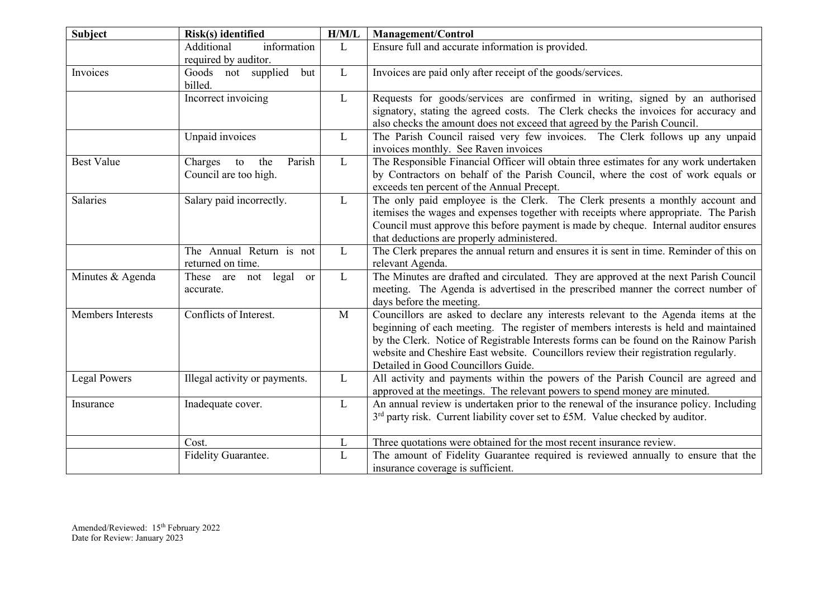| <b>Subject</b>      | Risk(s) identified                                      | H/M/L        | <b>Management/Control</b>                                                                                                                                                                                                                                                                                                                                                                        |
|---------------------|---------------------------------------------------------|--------------|--------------------------------------------------------------------------------------------------------------------------------------------------------------------------------------------------------------------------------------------------------------------------------------------------------------------------------------------------------------------------------------------------|
|                     | Additional<br>information                               | L            | Ensure full and accurate information is provided.                                                                                                                                                                                                                                                                                                                                                |
|                     | required by auditor.                                    |              |                                                                                                                                                                                                                                                                                                                                                                                                  |
| Invoices            | Goods not supplied<br>but<br>billed.                    | $\mathbf{L}$ | Invoices are paid only after receipt of the goods/services.                                                                                                                                                                                                                                                                                                                                      |
|                     | Incorrect invoicing                                     | L            | Requests for goods/services are confirmed in writing, signed by an authorised<br>signatory, stating the agreed costs. The Clerk checks the invoices for accuracy and<br>also checks the amount does not exceed that agreed by the Parish Council.                                                                                                                                                |
|                     | Unpaid invoices                                         | L            | The Parish Council raised very few invoices. The Clerk follows up any unpaid<br>invoices monthly. See Raven invoices                                                                                                                                                                                                                                                                             |
| <b>Best Value</b>   | Parish<br>Charges<br>the<br>to<br>Council are too high. | $\mathbf{L}$ | The Responsible Financial Officer will obtain three estimates for any work undertaken<br>by Contractors on behalf of the Parish Council, where the cost of work equals or<br>exceeds ten percent of the Annual Precept.                                                                                                                                                                          |
| Salaries            | Salary paid incorrectly.                                | L            | The only paid employee is the Clerk. The Clerk presents a monthly account and<br>itemises the wages and expenses together with receipts where appropriate. The Parish<br>Council must approve this before payment is made by cheque. Internal auditor ensures<br>that deductions are properly administered.                                                                                      |
|                     | The Annual Return is not<br>returned on time.           | L            | The Clerk prepares the annual return and ensures it is sent in time. Reminder of this on<br>relevant Agenda.                                                                                                                                                                                                                                                                                     |
| Minutes & Agenda    | These are not legal<br><sub>or</sub><br>accurate.       | $\mathbf{L}$ | The Minutes are drafted and circulated. They are approved at the next Parish Council<br>meeting. The Agenda is advertised in the prescribed manner the correct number of<br>days before the meeting.                                                                                                                                                                                             |
| Members Interests   | Conflicts of Interest.                                  | $\mathbf{M}$ | Councillors are asked to declare any interests relevant to the Agenda items at the<br>beginning of each meeting. The register of members interests is held and maintained<br>by the Clerk. Notice of Registrable Interests forms can be found on the Rainow Parish<br>website and Cheshire East website. Councillors review their registration regularly.<br>Detailed in Good Councillors Guide. |
| <b>Legal Powers</b> | Illegal activity or payments.                           | $\mathbf{L}$ | All activity and payments within the powers of the Parish Council are agreed and<br>approved at the meetings. The relevant powers to spend money are minuted.                                                                                                                                                                                                                                    |
| Insurance           | Inadequate cover.                                       | L            | An annual review is undertaken prior to the renewal of the insurance policy. Including<br>3 <sup>rd</sup> party risk. Current liability cover set to £5M. Value checked by auditor.                                                                                                                                                                                                              |
|                     | Cost.                                                   | L            | Three quotations were obtained for the most recent insurance review.                                                                                                                                                                                                                                                                                                                             |
|                     | Fidelity Guarantee.                                     | L            | The amount of Fidelity Guarantee required is reviewed annually to ensure that the<br>insurance coverage is sufficient.                                                                                                                                                                                                                                                                           |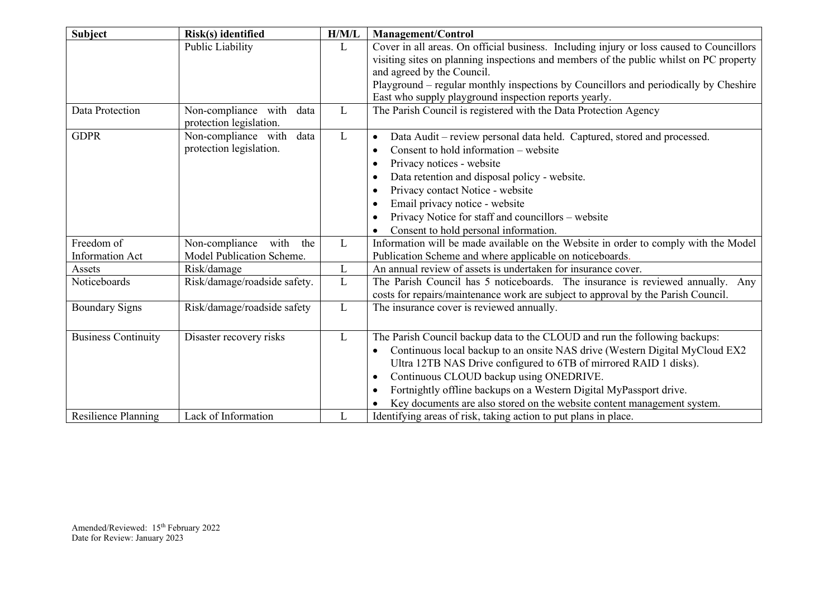| <b>Subject</b>             | Risk(s) identified                                     | H/M/L        | <b>Management/Control</b>                                                                                                                                           |
|----------------------------|--------------------------------------------------------|--------------|---------------------------------------------------------------------------------------------------------------------------------------------------------------------|
|                            | Public Liability                                       | L            | Cover in all areas. On official business. Including injury or loss caused to Councillors                                                                            |
|                            |                                                        |              | visiting sites on planning inspections and members of the public whilst on PC property                                                                              |
|                            |                                                        |              | and agreed by the Council.                                                                                                                                          |
|                            |                                                        |              | Playground – regular monthly inspections by Councillors and periodically by Cheshire                                                                                |
|                            |                                                        |              | East who supply playground inspection reports yearly.                                                                                                               |
| Data Protection            | Non-compliance with<br>data<br>protection legislation. | L            | The Parish Council is registered with the Data Protection Agency                                                                                                    |
| <b>GDPR</b>                | Non-compliance with<br>data                            | L            | Data Audit - review personal data held. Captured, stored and processed.<br>$\bullet$                                                                                |
|                            | protection legislation.                                |              | Consent to hold information – website<br>$\bullet$                                                                                                                  |
|                            |                                                        |              | Privacy notices - website<br>$\bullet$                                                                                                                              |
|                            |                                                        |              | Data retention and disposal policy - website.<br>$\bullet$                                                                                                          |
|                            |                                                        |              | Privacy contact Notice - website<br>$\bullet$                                                                                                                       |
|                            |                                                        |              | Email privacy notice - website                                                                                                                                      |
|                            |                                                        |              | Privacy Notice for staff and councillors – website                                                                                                                  |
|                            |                                                        |              | Consent to hold personal information.                                                                                                                               |
| Freedom of                 | Non-compliance with the                                | $\mathbf{L}$ | Information will be made available on the Website in order to comply with the Model                                                                                 |
| <b>Information Act</b>     | Model Publication Scheme.                              |              | Publication Scheme and where applicable on noticeboards.                                                                                                            |
| Assets                     | Risk/damage                                            | L            | An annual review of assets is undertaken for insurance cover.                                                                                                       |
| Noticeboards               | Risk/damage/roadside safety.                           | L            | The Parish Council has 5 noticeboards. The insurance is reviewed annually. Any<br>costs for repairs/maintenance work are subject to approval by the Parish Council. |
| <b>Boundary Signs</b>      | Risk/damage/roadside safety                            | L            | The insurance cover is reviewed annually.                                                                                                                           |
| <b>Business Continuity</b> | Disaster recovery risks                                | L            | The Parish Council backup data to the CLOUD and run the following backups:                                                                                          |
|                            |                                                        |              | Continuous local backup to an onsite NAS drive (Western Digital MyCloud EX2<br>$\bullet$                                                                            |
|                            |                                                        |              | Ultra 12TB NAS Drive configured to 6TB of mirrored RAID 1 disks).                                                                                                   |
|                            |                                                        |              | Continuous CLOUD backup using ONEDRIVE.<br>$\bullet$                                                                                                                |
|                            |                                                        |              | Fortnightly offline backups on a Western Digital MyPassport drive.<br>٠                                                                                             |
|                            |                                                        |              | Key documents are also stored on the website content management system.                                                                                             |
| <b>Resilience Planning</b> | Lack of Information                                    | L            | Identifying areas of risk, taking action to put plans in place.                                                                                                     |